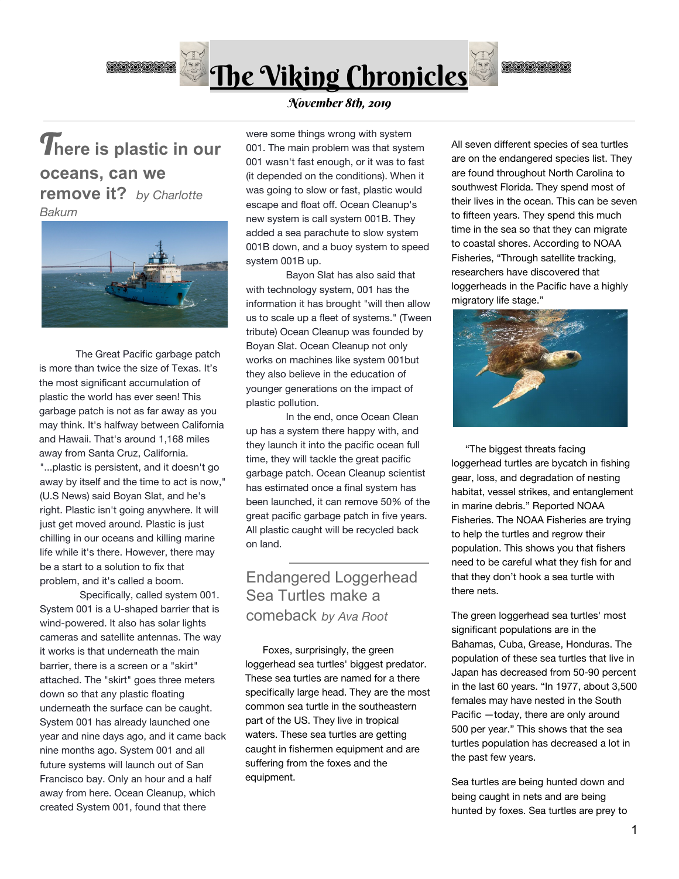

# T**here is plastic in our oceans, can we remove it?** *by Charlotte Bakum*



 The Great Pacific garbage patch is more than twice the size of Texas. It's the most significant accumulation of plastic the world has ever seen! This garbage patch is not as far away as you may think. It's halfway between California and Hawaii. That's around 1,168 miles away from Santa Cruz, California. "...plastic is persistent, and it doesn't go away by itself and the time to act is now," (U.S News) said Boyan Slat, and he's right. Plastic isn't going anywhere. It will just get moved around. Plastic is just chilling in our oceans and killing marine life while it's there. However, there may be a start to a solution to fix that problem, and it's called a boom.

Specifically, called system 001. System 001 is a U-shaped barrier that is wind-powered. It also has solar lights cameras and satellite antennas. The way it works is that underneath the main barrier, there is a screen or a "skirt" attached. The "skirt" goes three meters down so that any plastic floating underneath the surface can be caught. System 001 has already launched one year and nine days ago, and it came back nine months ago. System 001 and all future systems will launch out of San Francisco bay. Only an hour and a half away from here. Ocean Cleanup, which created System 001, found that there

### November 8th, 2019

were some things wrong with system 001. The main problem was that system 001 wasn't fast enough, or it was to fast (it depended on the conditions). When it was going to slow or fast, plastic would escape and float off. Ocean Cleanup's new system is call system 001B. They added a sea parachute to slow system 001B down, and a buoy system to speed system 001B up.

Bayon Slat has also said that with technology system, 001 has the information it has brought "will then allow us to scale up a fleet of systems." (Tween tribute) Ocean Cleanup was founded by Boyan Slat. Ocean Cleanup not only works on machines like system 001but they also believe in the education of younger generations on the impact of plastic pollution.

In the end, once Ocean Clean up has a system there happy with, and they launch it into the pacific ocean full time, they will tackle the great pacific garbage patch. Ocean Cleanup scientist has estimated once a final system has been launched, it can remove 50% of the great pacific garbage patch in five years. All plastic caught will be recycled back on land.

## Endangered Loggerhead Sea Turtles make a comeback *by Ava Root*

 Foxes, surprisingly, the green loggerhead sea turtles' biggest predator. These sea turtles are named for a there specifically large head. They are the most common sea turtle in the southeastern part of the US. They live in tropical waters. These sea turtles are getting caught in fishermen equipment and are suffering from the foxes and the equipment.

All seven different species of sea turtles are on the endangered species list. They are found throughout North Carolina to southwest Florida. They spend most of their lives in the ocean. This can be seven to fifteen years. They spend this much time in the sea so that they can migrate to coastal shores. According to NOAA Fisheries, "Through satellite tracking, researchers have discovered that loggerheads in the Pacific have a highly migratory life stage."

**OOOOOO** 



 "The biggest threats facing loggerhead turtles are bycatch in fishing gear, loss, and degradation of nesting habitat, vessel strikes, and entanglement in marine debris." Reported NOAA Fisheries. The NOAA Fisheries are trying to help the turtles and regrow their population. This shows you that fishers need to be careful what they fish for and that they don't hook a sea turtle with there nets.

The green loggerhead sea turtles' most significant populations are in the Bahamas, Cuba, Grease, Honduras. The population of these sea turtles that live in Japan has decreased from 50-90 percent in the last 60 years. "In 1977, about 3,500 females may have nested in the South Pacific —today, there are only around 500 per year." This shows that the sea turtles population has decreased a lot in the past few years.

Sea turtles are being hunted down and being caught in nets and are being hunted by foxes. Sea turtles are prey to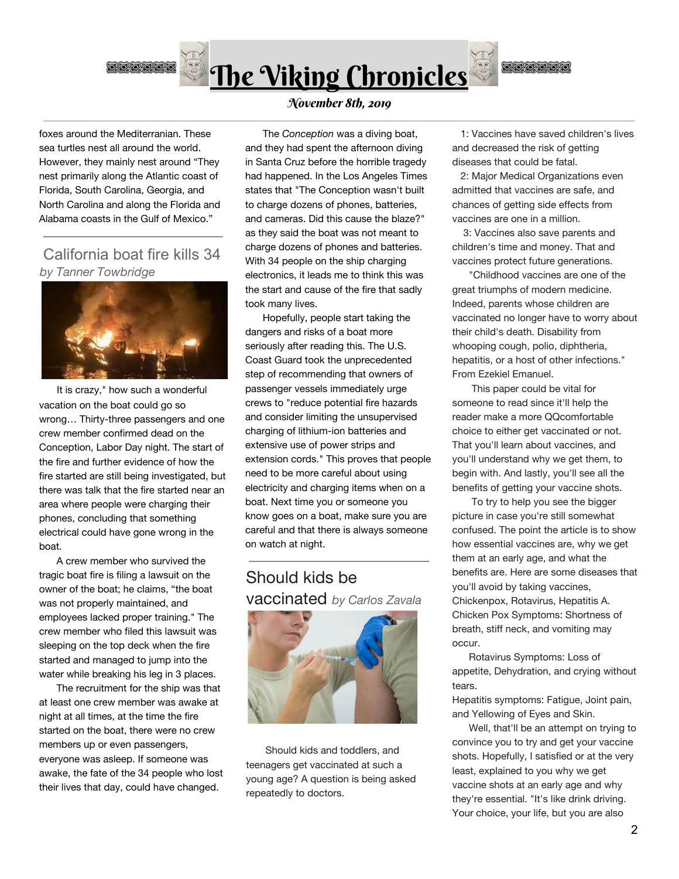

**OOOOOO** 

foxes around the Mediterranian. These sea turtles nest all around the world. However, they mainly nest around "They nest primarily along the Atlantic coast of Florida, South Carolina, Georgia, and North Carolina and along the Florida and Alabama coasts in the Gulf of Mexico."

### California boat fire kills 34 *by Tanner Towbridge*



It is crazy," how such a wonderful vacation on the boat could go so wrong… Thirty-three passengers and one crew member confirmed dead on the Conception, Labor Day night. The start of the fire and further evidence of how the fire started are still being investigated, but there was talk that the fire started near an area where people were charging their phones, concluding that something electrical could have gone wrong in the boat.

 A crew member who survived the tragic boat fire is filing a lawsuit on the owner of the boat; he claims, "the boat was not properly maintained, and employees lacked proper training." The crew member who filed this lawsuit was sleeping on the top deck when the fire started and managed to jump into the water while breaking his leg in 3 places.

 The recruitment for the ship was that at least one crew member was awake at night at all times, at the time the fire started on the boat, there were no crew members up or even passengers, everyone was asleep. If someone was awake, the fate of the 34 people who lost their lives that day, could have changed.

November 8th, 2019

 The *Conception* was a diving boat, and they had spent the afternoon diving in Santa Cruz before the horrible tragedy had happened. In the Los Angeles Times states that "The Conception wasn't built to charge dozens of phones, batteries, and cameras. Did this cause the blaze?" as they said the boat was not meant to charge dozens of phones and batteries. With 34 people on the ship charging electronics, it leads me to think this was the start and cause of the fire that sadly took many lives.

 Hopefully, people start taking the dangers and risks of a boat more seriously after reading this. The U.S. Coast Guard took the unprecedented step of recommending that owners of passenger vessels immediately urge crews to "reduce potential fire hazards and consider limiting the unsupervised charging of lithium-ion batteries and extensive use of power strips and extension cords." This proves that people need to be more careful about using electricity and charging items when on a boat. Next time you or someone you know goes on a boat, make sure you are careful and that there is always someone on watch at night.

Should kids be vaccinated *by Carlos Zavala*



 Should kids and toddlers, and teenagers get vaccinated at such a young age? A question is being asked repeatedly to doctors.

 1: Vaccines have saved children's lives and decreased the risk of getting diseases that could be fatal.

 2: Major Medical Organizations even admitted that vaccines are safe, and chances of getting side effects from vaccines are one in a million.

 3: Vaccines also save parents and children's time and money. That and vaccines protect future generations.

 "Childhood vaccines are one of the great triumphs of modern medicine. Indeed, parents whose children are vaccinated no longer have to worry about their child's death. Disability from whooping cough, polio, diphtheria, hepatitis, or a host of other infections." From Ezekiel Emanuel.

 This paper could be vital for someone to read since it'll help the reader make a more QQcomfortable choice to either get vaccinated or not. That you'll learn about vaccines, and you'll understand why we get them, to begin with. And lastly, you'll see all the benefits of getting your vaccine shots.

 To try to help you see the bigger picture in case you're still somewhat confused. The point the article is to show how essential vaccines are, why we get them at an early age, and what the benefits are. Here are some diseases that you'll avoid by taking vaccines, Chickenpox, Rotavirus, Hepatitis A. Chicken Pox Symptoms: Shortness of breath, stiff neck, and vomiting may occur.

 Rotavirus Symptoms: Loss of appetite, Dehydration, and crying without tears.

Hepatitis symptoms: Fatigue, Joint pain, and Yellowing of Eyes and Skin.

 Well, that'll be an attempt on trying to convince you to try and get your vaccine shots. Hopefully, I satisfied or at the very least, explained to you why we get vaccine shots at an early age and why they're essential. "It's like drink driving. Your choice, your life, but you are also